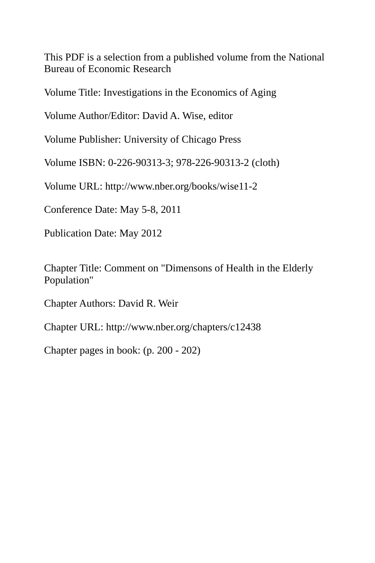This PDF is a selection from a published volume from the National Bureau of Economic Research

Volume Title: Investigations in the Economics of Aging

Volume Author/Editor: David A. Wise, editor

Volume Publisher: University of Chicago Press

Volume ISBN: 0-226-90313-3; 978-226-90313-2 (cloth)

Volume URL: http://www.nber.org/books/wise11-2

Conference Date: May 5-8, 2011

Publication Date: May 2012

Chapter Title: Comment on "Dimensons of Health in the Elderly Population"

Chapter Authors: David R. Weir

Chapter URL: http://www.nber.org/chapters/c12438

Chapter pages in book: (p. 200 - 202)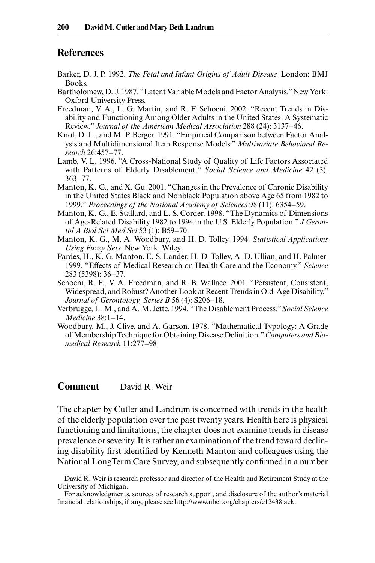## **References**

- Barker, D. J. P. 1992. *The Fetal and Infant Origins of Adult Disease.* London: BMJ Books.
- Bartholomew, D. J. 1987. "Latent Variable Models and Factor Analysis." New York: Oxford University Press.
- Freedman, V. A., L. G. Martin, and R. F. Schoeni. 2002. "Recent Trends in Disability and Functioning Among Older Adults in the United States: A Systematic Review." Journal of the American Medical Association 288 (24): 3137-46.
- Knol, D. L., and M. P. Berger. 1991. "Empirical Comparison between Factor Analysis and Multidimensional Item Response Models." *Multivariate Behavioral Research* 26:457– 77.
- Lamb, V. L. 1996. "A Cross- National Study of Quality of Life Factors Associated with Patterns of Elderly Disablement." *Social Science and Medicine* 42 (3):  $363 - 77$ .
- Manton, K. G., and X. Gu. 2001. "Changes in the Prevalence of Chronic Disability in the United States Black and Nonblack Population above Age 65 from 1982 to 1999." Proceedings of the National Academy of Sciences 98 (11): 6354-59.
- Manton, K. G., E. Stallard, and L. S. Corder. 1998. "The Dynamics of Dimensions of Age- Related Disability 1982 to 1994 in the U.S. Elderly Population." *J Gerontol A Biol Sci Med Sci* 53 (1): B59– 70.
- Manton, K. G., M. A. Woodbury, and H. D. Tolley. 1994. *Statistical Applications Using Fuzzy Sets.* New York: Wiley.
- Pardes, H., K. G. Manton, E. S. Lander, H. D. Tolley, A. D. Ullian, and H. Palmer. 1999. "Effects of Medical Research on Health Care and the Economy." *Science* 283 (5398): 36– 37.
- Schoeni, R. F., V. A. Freedman, and R. B. Wallace. 2001. "Persistent, Consistent, Widespread, and Robust? Another Look at Recent Trends in Old- Age Disability." *Journal of Gerontology, Series B* 56 (4): S206–18.
- Verbrugge, L. M., and A. M. Jette. 1994. "The Disablement Process." *Social Science Medicine* 38:1– 14.
- Woodbury, M., J. Clive, and A. Garson. 1978. "Mathematical Typology: A Grade of Membership Technique for Obtaining Disease Definition." Computers and Bio*medical Research* 11:277– 98.

## **Comment** David R. Weir

The chapter by Cutler and Landrum is concerned with trends in the health of the elderly population over the past twenty years. Health here is physical functioning and limitations; the chapter does not examine trends in disease prevalence or severity. It is rather an examination of the trend toward declining disability first identified by Kenneth Manton and colleagues using the National LongTerm Care Survey, and subsequently confirmed in a number

David R. Weir is research professor and director of the Health and Retirement Study at the University of Michigan.

For acknowledgments, sources of research support, and disclosure of the author's material financial relationships, if any, please see http://www.nber.org/chapters/c12438.ack.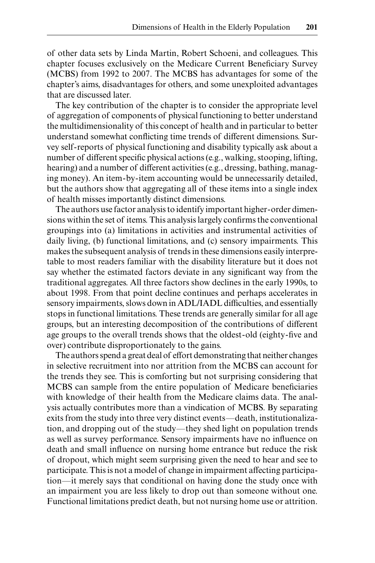of other data sets by Linda Martin, Robert Schoeni, and colleagues. This chapter focuses exclusively on the Medicare Current Beneficiary Survey (MCBS) from 1992 to 2007. The MCBS has advantages for some of the chapter's aims, disadvantages for others, and some unexploited advantages that are discussed later.

The key contribution of the chapter is to consider the appropriate level of aggregation of components of physical functioning to better understand the multidimensionality of this concept of health and in particular to better understand somewhat conflicting time trends of different dimensions. Survey self- reports of physical functioning and disability typically ask about a number of different specific physical actions (e.g., walking, stooping, lifting, hearing) and a number of different activities (e.g., dressing, bathing, managing money). An item-by-item accounting would be unnecessarily detailed, but the authors show that aggregating all of these items into a single index of health misses importantly distinct dimensions.

The authors use factor analysis to identify important higher- order dimensions within the set of items. This analysis largely confirms the conventional groupings into (a) limitations in activities and instrumental activities of daily living, (b) functional limitations, and (c) sensory impairments. This makes the subsequent analysis of trends in these dimensions easily interpretable to most readers familiar with the disability literature but it does not say whether the estimated factors deviate in any significant way from the traditional aggregates. All three factors show declines in the early 1990s, to about 1998. From that point decline continues and perhaps accelerates in sensory impairments, slows down in ADL/IADL difficulties, and essentially stops in functional limitations. These trends are generally similar for all age groups, but an interesting decomposition of the contributions of different age groups to the overall trends shows that the oldest-old (eighty-five and over) contribute disproportionately to the gains.

The authors spend a great deal of effort demonstrating that neither changes in selective recruitment into nor attrition from the MCBS can account for the trends they see. This is comforting but not surprising considering that MCBS can sample from the entire population of Medicare beneficiaries with knowledge of their health from the Medicare claims data. The analysis actually contributes more than a vindication of MCBS. By separating exits from the study into three very distinct events—death, institutionalization, and dropping out of the study—they shed light on population trends as well as survey performance. Sensory impairments have no influence on death and small influence on nursing home entrance but reduce the risk of dropout, which might seem surprising given the need to hear and see to participate. This is not a model of change in impairment affecting participation—it merely says that conditional on having done the study once with an impairment you are less likely to drop out than someone without one. Functional limitations predict death, but not nursing home use or attrition.